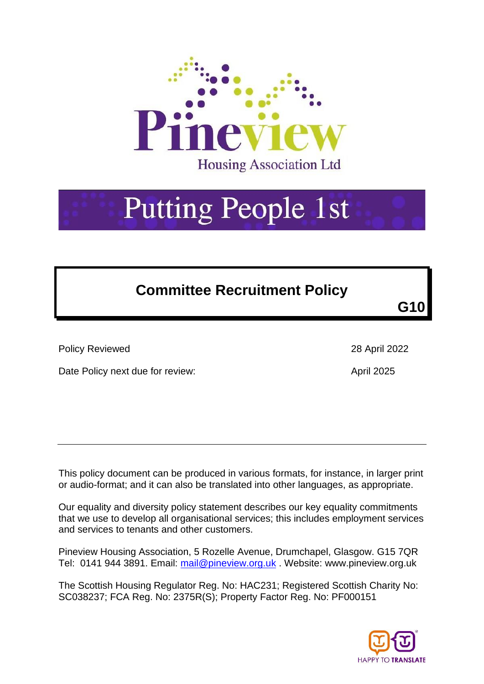

# **Putting People 1st**

# **Committee Recruitment Policy**

**G10**

Policy Reviewed 28 April 2022

Date Policy next due for review:  $\frac{1}{2025}$ 

This policy document can be produced in various formats, for instance, in larger print or audio-format; and it can also be translated into other languages, as appropriate.

Our equality and diversity policy statement describes our key equality commitments that we use to develop all organisational services; this includes employment services and services to tenants and other customers.

Pineview Housing Association, 5 Rozelle Avenue, Drumchapel, Glasgow. G15 7QR Tel: 0141 944 3891. Email: [mail@pineview.org.uk](mailto:mail@pineview.org.uk). Website: www.pineview.org.uk

The Scottish Housing Regulator Reg. No: HAC231; Registered Scottish Charity No: SC038237; FCA Reg. No: 2375R(S); Property Factor Reg. No: PF000151

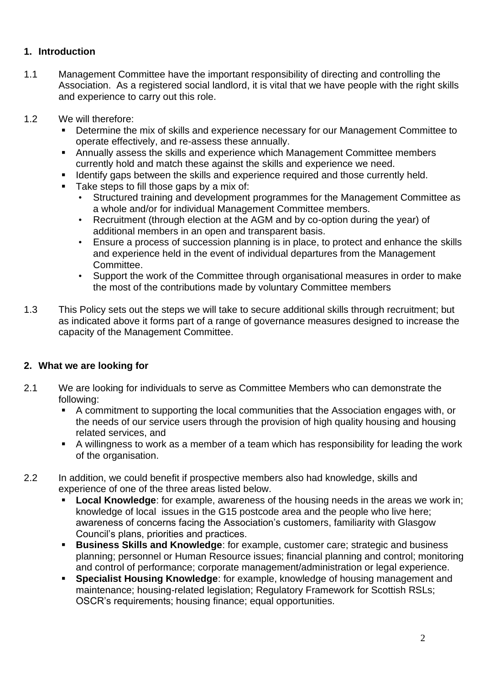#### **1. Introduction**

- 1.1 Management Committee have the important responsibility of directing and controlling the Association. As a registered social landlord, it is vital that we have people with the right skills and experience to carry out this role.
- 1.2 We will therefore:
	- Determine the mix of skills and experience necessary for our Management Committee to operate effectively, and re-assess these annually.
	- Annually assess the skills and experience which Management Committee members currently hold and match these against the skills and experience we need.
	- **EXP** Identify gaps between the skills and experience required and those currently held.
	- Take steps to fill those gaps by a mix of:
		- Structured training and development programmes for the Management Committee as a whole and/or for individual Management Committee members.
		- Recruitment (through election at the AGM and by co-option during the year) of additional members in an open and transparent basis.
		- Ensure a process of succession planning is in place, to protect and enhance the skills and experience held in the event of individual departures from the Management Committee.
		- Support the work of the Committee through organisational measures in order to make the most of the contributions made by voluntary Committee members
- 1.3 This Policy sets out the steps we will take to secure additional skills through recruitment; but as indicated above it forms part of a range of governance measures designed to increase the capacity of the Management Committee.

#### **2. What we are looking for**

- 2.1 We are looking for individuals to serve as Committee Members who can demonstrate the following:
	- A commitment to supporting the local communities that the Association engages with, or the needs of our service users through the provision of high quality housing and housing related services, and
	- A willingness to work as a member of a team which has responsibility for leading the work of the organisation.
- 2.2 In addition, we could benefit if prospective members also had knowledge, skills and experience of one of the three areas listed below.
	- **Local Knowledge:** for example, awareness of the housing needs in the areas we work in; knowledge of local issues in the G15 postcode area and the people who live here; awareness of concerns facing the Association's customers, familiarity with Glasgow Council's plans, priorities and practices.
	- **Business Skills and Knowledge**: for example, customer care; strategic and business planning; personnel or Human Resource issues; financial planning and control; monitoring and control of performance; corporate management/administration or legal experience.
	- **Specialist Housing Knowledge**: for example, knowledge of housing management and maintenance; housing-related legislation; Regulatory Framework for Scottish RSLs; OSCR's requirements; housing finance; equal opportunities.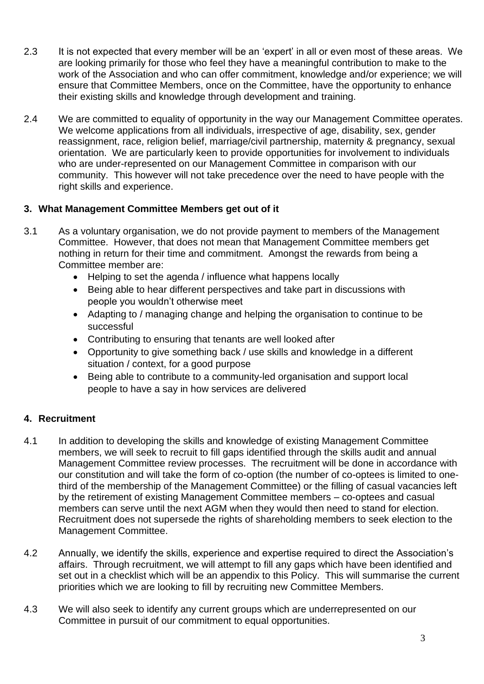- 2.3 It is not expected that every member will be an 'expert' in all or even most of these areas. We are looking primarily for those who feel they have a meaningful contribution to make to the work of the Association and who can offer commitment, knowledge and/or experience; we will ensure that Committee Members, once on the Committee, have the opportunity to enhance their existing skills and knowledge through development and training.
- 2.4 We are committed to equality of opportunity in the way our Management Committee operates. We welcome applications from all individuals, irrespective of age, disability, sex, gender reassignment, race, religion belief, marriage/civil partnership, maternity & pregnancy, sexual orientation. We are particularly keen to provide opportunities for involvement to individuals who are under-represented on our Management Committee in comparison with our community. This however will not take precedence over the need to have people with the right skills and experience.

#### **3. What Management Committee Members get out of it**

- 3.1 As a voluntary organisation, we do not provide payment to members of the Management Committee. However, that does not mean that Management Committee members get nothing in return for their time and commitment. Amongst the rewards from being a Committee member are:
	- Helping to set the agenda / influence what happens locally
	- Being able to hear different perspectives and take part in discussions with people you wouldn't otherwise meet
	- Adapting to / managing change and helping the organisation to continue to be successful
	- Contributing to ensuring that tenants are well looked after
	- Opportunity to give something back / use skills and knowledge in a different situation / context, for a good purpose
	- Being able to contribute to a community-led organisation and support local people to have a say in how services are delivered

### **4. Recruitment**

- 4.1 In addition to developing the skills and knowledge of existing Management Committee members, we will seek to recruit to fill gaps identified through the skills audit and annual Management Committee review processes. The recruitment will be done in accordance with our constitution and will take the form of co-option (the number of co-optees is limited to onethird of the membership of the Management Committee) or the filling of casual vacancies left by the retirement of existing Management Committee members – co-optees and casual members can serve until the next AGM when they would then need to stand for election. Recruitment does not supersede the rights of shareholding members to seek election to the Management Committee.
- 4.2 Annually, we identify the skills, experience and expertise required to direct the Association's affairs. Through recruitment, we will attempt to fill any gaps which have been identified and set out in a checklist which will be an appendix to this Policy. This will summarise the current priorities which we are looking to fill by recruiting new Committee Members.
- 4.3 We will also seek to identify any current groups which are underrepresented on our Committee in pursuit of our commitment to equal opportunities.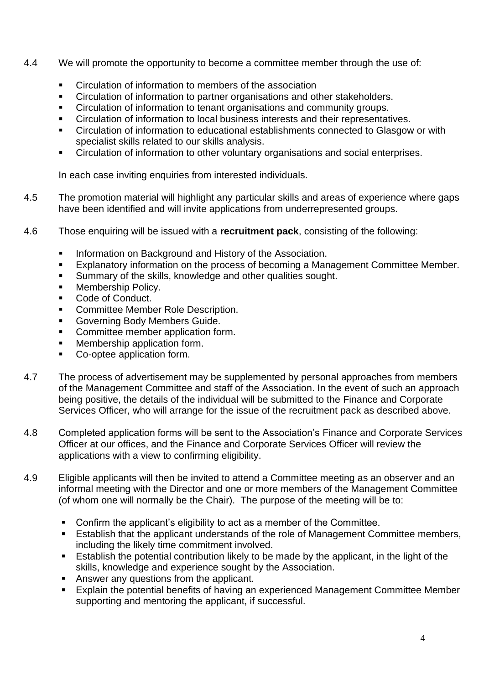- 4.4 We will promote the opportunity to become a committee member through the use of:
	- Circulation of information to members of the association
	- Circulation of information to partner organisations and other stakeholders.
	- Circulation of information to tenant organisations and community groups.
	- Circulation of information to local business interests and their representatives.
	- Circulation of information to educational establishments connected to Glasgow or with specialist skills related to our skills analysis.
	- Circulation of information to other voluntary organisations and social enterprises.

In each case inviting enquiries from interested individuals.

- 4.5 The promotion material will highlight any particular skills and areas of experience where gaps have been identified and will invite applications from underrepresented groups.
- 4.6 Those enquiring will be issued with a **recruitment pack**, consisting of the following:
	- **EXECT** Information on Background and History of the Association.
	- Explanatory information on the process of becoming a Management Committee Member.
	- Summary of the skills, knowledge and other qualities sought.
	- Membership Policy.
	- Code of Conduct.
	- Committee Member Role Description.
	- Governing Body Members Guide.
	- Committee member application form.
	- Membership application form.
	- Co-optee application form.
- 4.7 The process of advertisement may be supplemented by personal approaches from members of the Management Committee and staff of the Association. In the event of such an approach being positive, the details of the individual will be submitted to the Finance and Corporate Services Officer, who will arrange for the issue of the recruitment pack as described above.
- 4.8 Completed application forms will be sent to the Association's Finance and Corporate Services Officer at our offices, and the Finance and Corporate Services Officer will review the applications with a view to confirming eligibility.
- 4.9 Eligible applicants will then be invited to attend a Committee meeting as an observer and an informal meeting with the Director and one or more members of the Management Committee (of whom one will normally be the Chair). The purpose of the meeting will be to:
	- Confirm the applicant's eligibility to act as a member of the Committee.
	- Establish that the applicant understands of the role of Management Committee members, including the likely time commitment involved.
	- Establish the potential contribution likely to be made by the applicant, in the light of the skills, knowledge and experience sought by the Association.
	- Answer any questions from the applicant.
	- Explain the potential benefits of having an experienced Management Committee Member supporting and mentoring the applicant, if successful.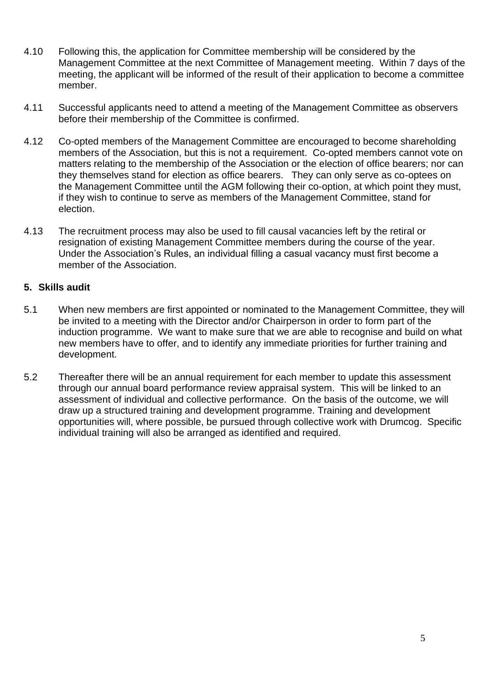- 4.10 Following this, the application for Committee membership will be considered by the Management Committee at the next Committee of Management meeting. Within 7 days of the meeting, the applicant will be informed of the result of their application to become a committee member.
- 4.11 Successful applicants need to attend a meeting of the Management Committee as observers before their membership of the Committee is confirmed.
- 4.12 Co-opted members of the Management Committee are encouraged to become shareholding members of the Association, but this is not a requirement. Co-opted members cannot vote on matters relating to the membership of the Association or the election of office bearers; nor can they themselves stand for election as office bearers. They can only serve as co-optees on the Management Committee until the AGM following their co-option, at which point they must, if they wish to continue to serve as members of the Management Committee, stand for election.
- 4.13 The recruitment process may also be used to fill causal vacancies left by the retiral or resignation of existing Management Committee members during the course of the year. Under the Association's Rules, an individual filling a casual vacancy must first become a member of the Association.

#### **5. Skills audit**

- 5.1 When new members are first appointed or nominated to the Management Committee, they will be invited to a meeting with the Director and/or Chairperson in order to form part of the induction programme. We want to make sure that we are able to recognise and build on what new members have to offer, and to identify any immediate priorities for further training and development.
- 5.2 Thereafter there will be an annual requirement for each member to update this assessment through our annual board performance review appraisal system. This will be linked to an assessment of individual and collective performance. On the basis of the outcome, we will draw up a structured training and development programme. Training and development opportunities will, where possible, be pursued through collective work with Drumcog. Specific individual training will also be arranged as identified and required.